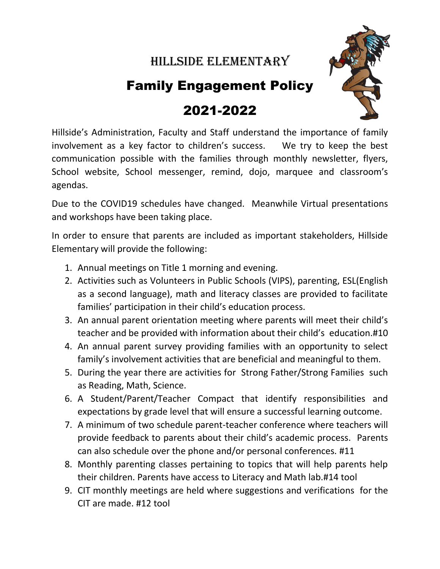## Hillside Elementary

## Family Engagement Policy

## 2021-2022



Hillside's Administration, Faculty and Staff understand the importance of family involvement as a key factor to children's success. We try to keep the best communication possible with the families through monthly newsletter, flyers, School website, School messenger, remind, dojo, marquee and classroom's agendas.

Due to the COVID19 schedules have changed. Meanwhile Virtual presentations and workshops have been taking place.

In order to ensure that parents are included as important stakeholders, Hillside Elementary will provide the following:

- 1. Annual meetings on Title 1 morning and evening.
- 2. Activities such as Volunteers in Public Schools (VIPS), parenting, ESL(English as a second language), math and literacy classes are provided to facilitate families' participation in their child's education process.
- 3. An annual parent orientation meeting where parents will meet their child's teacher and be provided with information about their child's education.#10
- 4. An annual parent survey providing families with an opportunity to select family's involvement activities that are beneficial and meaningful to them.
- 5. During the year there are activities for Strong Father/Strong Families such as Reading, Math, Science.
- 6. A Student/Parent/Teacher Compact that identify responsibilities and expectations by grade level that will ensure a successful learning outcome.
- 7. A minimum of two schedule parent-teacher conference where teachers will provide feedback to parents about their child's academic process. Parents can also schedule over the phone and/or personal conferences. #11
- 8. Monthly parenting classes pertaining to topics that will help parents help their children. Parents have access to Literacy and Math lab.#14 tool
- 9. CIT monthly meetings are held where suggestions and verifications for the CIT are made. #12 tool